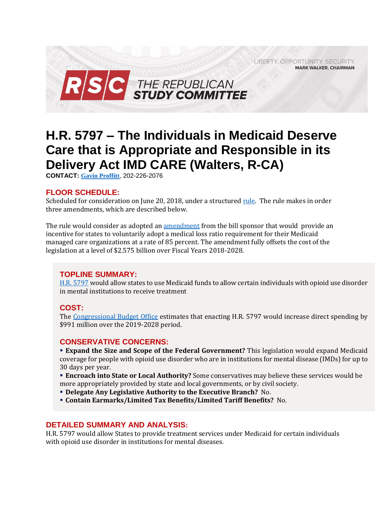LIBERTY. OPPORTUNITY. SECURITY. **MARK WALKER, CHAIRMAN** 



# **H.R. 5797 – The Individuals in Medicaid Deserve Care that is Appropriate and Responsible in its Delivery Act IMD CARE (Walters, R-CA)**

**CONTACT: [Gavin Proffitt](mailto:Gavin.Proffitt@mail.house.gov)**, 202-226-2076

#### **FLOOR SCHEDULE:**

Scheduled for consideration on June 20, 2018, under a structure[d rule.](https://rules.house.gov/sites/republicans.rules.house.gov/files/Rule_HR6HR5797HR6082.pdf) The rule makes in order three amendments, which are described below.

The rule would consider as adopted an [amendment](https://amendments-rules.house.gov/amendments/HR%205797%20Walters%20Amendment61518150832832.pdf) from the bill sponsor that would provide an incentive for states to voluntarily adopt a medical loss ratio requirement for their Medicaid managed care organizations at a rate of 85 percent. The amendment fully offsets the cost of the legislation at a level of \$2.575 billion over Fiscal Years 2018-2028.

# **TOPLINE SUMMARY:**

[H.R. 5797](https://www.gpo.gov/fdsys/pkg/BILLS-115hr5797rh/pdf/BILLS-115hr5797rh.pdf) would allow states to use Medicaid funds to allow certain individuals with opioid use disorder in mental institutions to receive treatment

#### **COST:**

The [Congressional Budget Office](https://www.cbo.gov/publication/54010) estimates that enacting H.R. 5797 would increase direct spending by \$991 million over the 2019-2028 period.

#### **CONSERVATIVE CONCERNS:**

 **Expand the Size and Scope of the Federal Government?** This legislation would expand Medicaid coverage for people with opioid use disorder who are in institutions for mental disease (IMDs) for up to 30 days per year.

 **Encroach into State or Local Authority?** Some conservatives may believe these services would be more appropriately provided by state and local governments, or by civil society.

- **Delegate Any Legislative Authority to the Executive Branch?** No.
- **Contain Earmarks/Limited Tax Benefits/Limited Tariff Benefits?** No.

# **DETAILED SUMMARY AND ANALYSIS:**

H.R. 5797 would allow States to provide treatment services under Medicaid for certain individuals with opioid use disorder in institutions for mental diseases.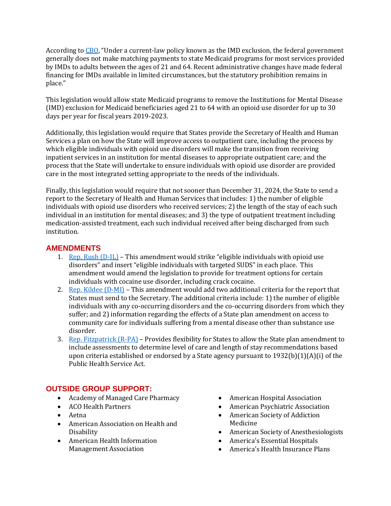According to [CBO](https://www.cbo.gov/system/files/115th-congress-2017-2018/costestimate/53949-opioid.pdf), "Under a current-law policy known as the IMD exclusion, the federal government generally does not make matching payments to state Medicaid programs for most services provided by IMDs to adults between the ages of 21 and 64. Recent administrative changes have made federal financing for IMDs available in limited circumstances, but the statutory prohibition remains in place."

This legislation would allow state Medicaid programs to remove the Institutions for Mental Disease (IMD) exclusion for Medicaid beneficiaries aged 21 to 64 with an opioid use disorder for up to 30 days per year for fiscal years 2019-2023.

Additionally, this legislation would require that States provide the Secretary of Health and Human Services a plan on how the State will improve access to outpatient care, including the process by which eligible individuals with opioid use disorders will make the transition from receiving inpatient services in an institution for mental diseases to appropriate outpatient care; and the process that the State will undertake to ensure individuals with opioid use disorder are provided care in the most integrated setting appropriate to the needs of the individuals.

Finally, this legislation would require that not sooner than December 31, 2024, the State to send a report to the Secretary of Health and Human Services that includes: 1) the number of eligible individuals with opioid use disorders who received services; 2) the length of the stay of each such individual in an institution for mental diseases; and 3) the type of outpatient treatment including medication-assisted treatment, each such individual received after being discharged from such institution.

# **AMENDMENTS**

- 1. Rep. Rush  $(D-IL)$  This amendment would strike "eligible individuals with opioid use disorders" and insert "eligible individuals with targeted SUDS" in each place. This amendment would amend the legislation to provide for treatment options for certain individuals with cocaine use disorder, including crack cocaine.
- 2. Rep. Kildee  $(D-MI)$  This amendment would add two additional criteria for the report that States must send to the Secretary. The additional criteria include: 1) the number of eligible individuals with any co-occurring disorders and the co-occurring disorders from which they suffer; and 2) information regarding the effects of a State plan amendment on access to community care for individuals suffering from a mental disease other than substance use disorder.
- 3. [Rep. Fitzpatrick \(R-PA\)](https://amendments-rules.house.gov/amendments/h5797-flr-fitzamd_01_xml615181619141914.pdf) Provides flexibility for States to allow the State plan amendment to include assessments to determine level of care and length of stay recommendations based upon criteria established or endorsed by a State agency pursuant to  $1932(b)(1)(A)(i)$  of the Public Health Service Act.

# **OUTSIDE GROUP SUPPORT:**

- Academy of Managed Care Pharmacy
- ACO Health Partners
- Aetna
- American Association on Health and Disability
- American Health Information Management Association
- American Hospital Association
- American Psychiatric Association
- American Society of Addiction Medicine
- American Society of Anesthesiologists
- America's Essential Hospitals
- America's Health Insurance Plans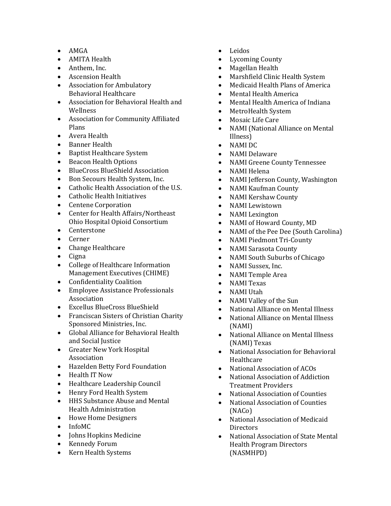- $\bullet$  AMGA
- AMITA Health
- Anthem, Inc.
- Ascension Health
- Association for Ambulatory Behavioral Healthcare
- Association for Behavioral Health and Wellness
- Association for Community Affiliated Plans
- Avera Health
- Banner Health
- Baptist Healthcare System
- Beacon Health Options
- BlueCross BlueShield Association
- Bon Secours Health System, Inc.
- Catholic Health Association of the U.S.
- Catholic Health Initiatives
- Centene Corporation
- Center for Health Affairs/Northeast Ohio Hospital Opioid Consortium
- Centerstone
- Cerner
- Change Healthcare
- $\bullet$  Cigna
- College of Healthcare Information Management Executives (CHIME)
- Confidentiality Coalition
- Employee Assistance Professionals Association
- Excellus BlueCross BlueShield
- Franciscan Sisters of Christian Charity Sponsored Ministries, Inc.
- Global Alliance for Behavioral Health and Social Justice
- Greater New York Hospital Association
- Hazelden Betty Ford Foundation
- Health IT Now
- Healthcare Leadership Council
- Henry Ford Health System
- HHS Substance Abuse and Mental Health Administration
- Howe Home Designers
- InfoMC
- Johns Hopkins Medicine
- Kennedy Forum
- Kern Health Systems
- Leidos
- Lycoming County
- Magellan Health
- Marshfield Clinic Health System
- Medicaid Health Plans of America
- Mental Health America
- Mental Health America of Indiana
- MetroHealth System
- Mosaic Life Care
- NAMI (National Alliance on Mental Illness)
- NAMI DC
- NAMI Delaware
- NAMI Greene County Tennessee
- NAMI Helena
- NAMI Jefferson County, Washington
- NAMI Kaufman County
- NAMI Kershaw County
- NAMI Lewistown
- NAMI Lexington
- NAMI of Howard County, MD
- NAMI of the Pee Dee (South Carolina)
- NAMI Piedmont Tri-County
- NAMI Sarasota County
- NAMI South Suburbs of Chicago
- NAMI Sussex, Inc.
- NAMI Temple Area
- NAMI Texas
- NAMI Utah
- NAMI Valley of the Sun
- National Alliance on Mental Illness
- National Alliance on Mental Illness (NAMI)
- National Alliance on Mental Illness (NAMI) Texas
- National Association for Behavioral **Healthcare**
- National Association of ACOs
- National Association of Addiction Treatment Providers
- National Association of Counties
- National Association of Counties (NACo)
- National Association of Medicaid **Directors**
- National Association of State Mental Health Program Directors (NASMHPD)